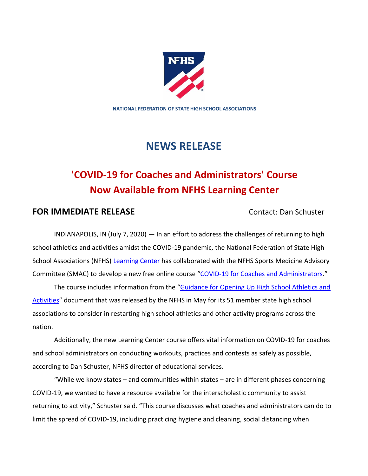

**NATIONAL FEDERATION OF STATE HIGH SCHOOL ASSOCIATIONS**

## **NEWS RELEASE**

# **'COVID-19 for Coaches and Administrators' Course Now Available from NFHS Learning Center**

## **FOR IMMEDIATE RELEASE Contact: Dan Schuster**

INDIANAPOLIS, IN (July 7, 2020) — In an effort to address the challenges of returning to high school athletics and activities amidst the COVID-19 pandemic, the National Federation of State High School Associations (NFHS) [Learning Center](https://appriver3651010340-my.sharepoint.com/personal/kvogel_nfhs_org/Documents/Publications/Press%20Releases/2020%20Releases/nfhslearn.com) has collaborated with the NFHS Sports Medicine Advisory Committee (SMAC) to develop a new free online course "[COVID-19 for Coaches and Administrators](https://nfhslearn.com/courses/covid-19-for-coaches-and-administrators)."

The course includes information from the "[Guidance for Opening Up High School Athletics and](https://www.nfhs.org/articles/guidance-for-state-associations-to-consider-in-re-opening-high-school-athletics-and-other-activities/)  [Activities](https://www.nfhs.org/articles/guidance-for-state-associations-to-consider-in-re-opening-high-school-athletics-and-other-activities/)" document that was released by the NFHS in May for its 51 member state high school associations to consider in restarting high school athletics and other activity programs across the nation.

Additionally, the new Learning Center course offers vital information on COVID-19 for coaches and school administrators on conducting workouts, practices and contests as safely as possible, according to Dan Schuster, NFHS director of educational services.

"While we know states – and communities within states – are in different phases concerning COVID-19, we wanted to have a resource available for the interscholastic community to assist returning to activity," Schuster said. "This course discusses what coaches and administrators can do to limit the spread of COVID-19, including practicing hygiene and cleaning, social distancing when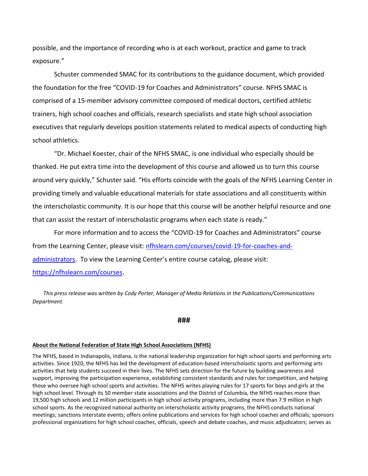possible, and the importance of recording who is at each workout, practice and game to track exposure."

Schuster commended SMAC for its contributions to the guidance document, which provided the foundation for the free "COVID-19 for Coaches and Administrators" course. NFHS SMAC is comprised of a 15-member advisory committee composed of medical doctors, certified athletic trainers, high school coaches and officials, research specialists and state high school association executives that regularly develops position statements related to medical aspects of conducting high school athletics.

"Dr. Michael Koester, chair of the NFHS SMAC, is one individual who especially should be thanked. He put extra time into the development of this course and allowed us to turn this course around very quickly," Schuster said. "His efforts coincide with the goals of the NFHS Learning Center in providing timely and valuable educational materials for state associations and all constituents within the interscholastic community. It is our hope that this course will be another helpful resource and one that can assist the restart of interscholastic programs when each state is ready."

For more information and to access the "COVID-19 for Coaches and Administrators" course from the Learning Center, please visit: [nfhslearn.com/courses/covid-19-for-coaches-and](https://nfhslearn.com/courses/covid-19-for-coaches-and-administrators)[administrators](https://nfhslearn.com/courses/covid-19-for-coaches-and-administrators). To view the Learning Center's entire course catalog, please visit: [https://nfhslearn.com/courses.](https://nfhslearn.com/courses)

*This press release was written by Cody Porter, Manager of Media Relations in the Publications/Communications Department.*

### **###**

#### **About the National Federation of State High School Associations (NFHS)**

The NFHS, based in Indianapolis, Indiana, is the national leadership organization for high school sports and performing arts activities. Since 1920, the NFHS has led the development of education-based interscholastic sports and performing arts activities that help students succeed in their lives. The NFHS sets direction for the future by building awareness and support, improving the participation experience, establishing consistent standards and rules for competition, and helping those who oversee high school sports and activities. The NFHS writes playing rules for 17 sports for boys and girls at the high school level. Through its 50 member state associations and the District of Columbia, the NFHS reaches more than 19,500 high schools and 12 million participants in high school activity programs, including more than 7.9 million in high school sports. As the recognized national authority on interscholastic activity programs, the NFHS conducts national meetings; sanctions interstate events; offers online publications and services for high school coaches and officials; sponsors professional organizations for high school coaches, officials, speech and debate coaches, and music adjudicators; serves as